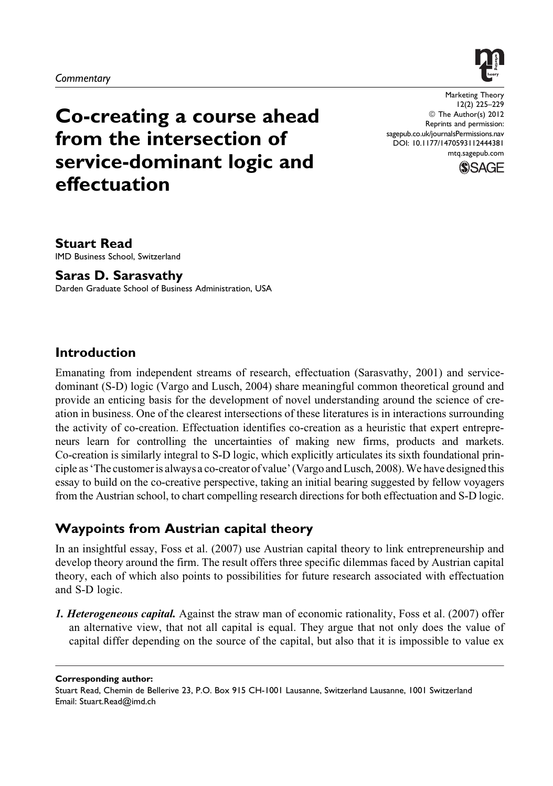

Co-creating a course ahead from the intersection of service-dominant logic and effectuation

Marketing Theory 12(2) 225–229 © The Author(s) 2012 Reprints and permission: sagepub.co.uk/journalsPermissions.nav DOI: 10.1177/1470593112444381 mtq.sagepub.com



Stuart Read IMD Business School, Switzerland

Saras D. Sarasvathy Darden Graduate School of Business Administration, USA

### Introduction

Emanating from independent streams of research, effectuation (Sarasvathy, 2001) and servicedominant (S-D) logic (Vargo and Lusch, 2004) share meaningful common theoretical ground and provide an enticing basis for the development of novel understanding around the science of creation in business. One of the clearest intersections of these literatures is in interactions surrounding the activity of co-creation. Effectuation identifies co-creation as a heuristic that expert entrepreneurs learn for controlling the uncertainties of making new firms, products and markets. Co-creation is similarly integral to S-D logic, which explicitly articulates its sixth foundational principle as 'The customeris always a co-creator of value' (Vargo and Lusch, 2008).We have designedthis essay to build on the co-creative perspective, taking an initial bearing suggested by fellow voyagers from the Austrian school, to chart compelling research directions for both effectuation and S-D logic.

## Waypoints from Austrian capital theory

In an insightful essay, Foss et al. (2007) use Austrian capital theory to link entrepreneurship and develop theory around the firm. The result offers three specific dilemmas faced by Austrian capital theory, each of which also points to possibilities for future research associated with effectuation and S-D logic.

1. Heterogeneous capital. Against the straw man of economic rationality, Foss et al. (2007) offer an alternative view, that not all capital is equal. They argue that not only does the value of capital differ depending on the source of the capital, but also that it is impossible to value ex

Corresponding author:

Stuart Read, Chemin de Bellerive 23, P.O. Box 915 CH-1001 Lausanne, Switzerland Lausanne, 1001 Switzerland Email: Stuart.Read@imd.ch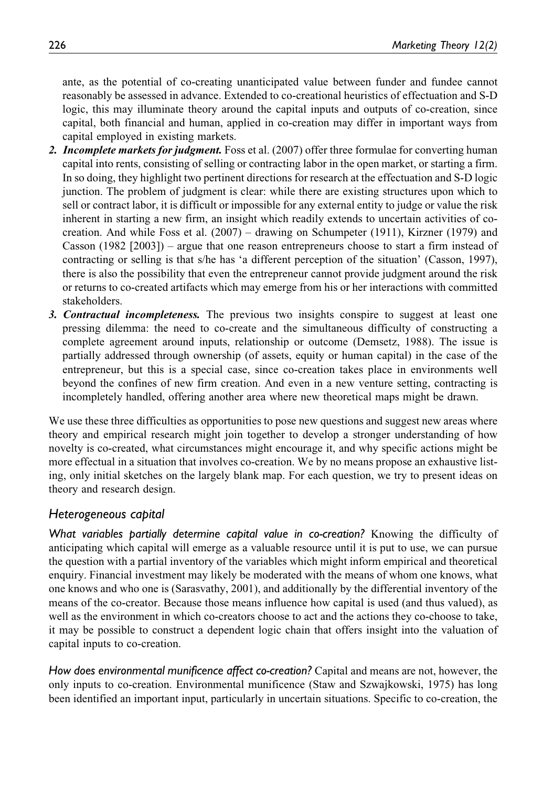ante, as the potential of co-creating unanticipated value between funder and fundee cannot reasonably be assessed in advance. Extended to co-creational heuristics of effectuation and S-D logic, this may illuminate theory around the capital inputs and outputs of co-creation, since capital, both financial and human, applied in co-creation may differ in important ways from capital employed in existing markets.

- 2. *Incomplete markets for judgment*. Foss et al. (2007) offer three formulae for converting human capital into rents, consisting of selling or contracting labor in the open market, or starting a firm. In so doing, they highlight two pertinent directions for research at the effectuation and S-D logic junction. The problem of judgment is clear: while there are existing structures upon which to sell or contract labor, it is difficult or impossible for any external entity to judge or value the risk inherent in starting a new firm, an insight which readily extends to uncertain activities of cocreation. And while Foss et al. (2007) – drawing on Schumpeter (1911), Kirzner (1979) and Casson (1982 [2003]) – argue that one reason entrepreneurs choose to start a firm instead of contracting or selling is that s/he has 'a different perception of the situation' (Casson, 1997), there is also the possibility that even the entrepreneur cannot provide judgment around the risk or returns to co-created artifacts which may emerge from his or her interactions with committed stakeholders.
- 3. Contractual incompleteness. The previous two insights conspire to suggest at least one pressing dilemma: the need to co-create and the simultaneous difficulty of constructing a complete agreement around inputs, relationship or outcome (Demsetz, 1988). The issue is partially addressed through ownership (of assets, equity or human capital) in the case of the entrepreneur, but this is a special case, since co-creation takes place in environments well beyond the confines of new firm creation. And even in a new venture setting, contracting is incompletely handled, offering another area where new theoretical maps might be drawn.

We use these three difficulties as opportunities to pose new questions and suggest new areas where theory and empirical research might join together to develop a stronger understanding of how novelty is co-created, what circumstances might encourage it, and why specific actions might be more effectual in a situation that involves co-creation. We by no means propose an exhaustive listing, only initial sketches on the largely blank map. For each question, we try to present ideas on theory and research design.

#### Heterogeneous capital

What variables partially determine capital value in co-creation? Knowing the difficulty of anticipating which capital will emerge as a valuable resource until it is put to use, we can pursue the question with a partial inventory of the variables which might inform empirical and theoretical enquiry. Financial investment may likely be moderated with the means of whom one knows, what one knows and who one is (Sarasvathy, 2001), and additionally by the differential inventory of the means of the co-creator. Because those means influence how capital is used (and thus valued), as well as the environment in which co-creators choose to act and the actions they co-choose to take, it may be possible to construct a dependent logic chain that offers insight into the valuation of capital inputs to co-creation.

How does environmental munificence affect co-creation? Capital and means are not, however, the only inputs to co-creation. Environmental munificence (Staw and Szwajkowski, 1975) has long been identified an important input, particularly in uncertain situations. Specific to co-creation, the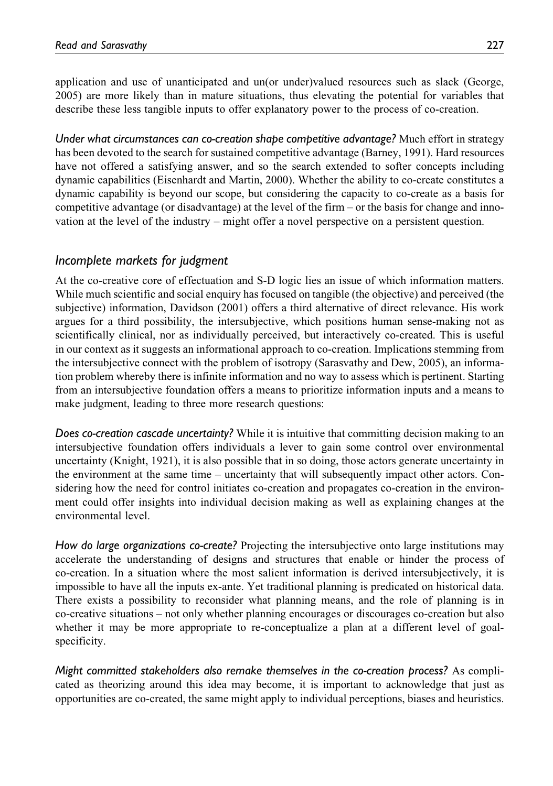application and use of unanticipated and un(or under)valued resources such as slack (George, 2005) are more likely than in mature situations, thus elevating the potential for variables that describe these less tangible inputs to offer explanatory power to the process of co-creation.

Under what circumstances can co-creation shape competitive advantage? Much effort in strategy has been devoted to the search for sustained competitive advantage (Barney, 1991). Hard resources have not offered a satisfying answer, and so the search extended to softer concepts including dynamic capabilities (Eisenhardt and Martin, 2000). Whether the ability to co-create constitutes a dynamic capability is beyond our scope, but considering the capacity to co-create as a basis for competitive advantage (or disadvantage) at the level of the firm – or the basis for change and innovation at the level of the industry – might offer a novel perspective on a persistent question.

### Incomplete markets for judgment

At the co-creative core of effectuation and S-D logic lies an issue of which information matters. While much scientific and social enquiry has focused on tangible (the objective) and perceived (the subjective) information, Davidson (2001) offers a third alternative of direct relevance. His work argues for a third possibility, the intersubjective, which positions human sense-making not as scientifically clinical, nor as individually perceived, but interactively co-created. This is useful in our context as it suggests an informational approach to co-creation. Implications stemming from the intersubjective connect with the problem of isotropy (Sarasvathy and Dew, 2005), an information problem whereby there is infinite information and no way to assess which is pertinent. Starting from an intersubjective foundation offers a means to prioritize information inputs and a means to make judgment, leading to three more research questions:

Does co-creation cascade uncertainty? While it is intuitive that committing decision making to an intersubjective foundation offers individuals a lever to gain some control over environmental uncertainty (Knight, 1921), it is also possible that in so doing, those actors generate uncertainty in the environment at the same time – uncertainty that will subsequently impact other actors. Considering how the need for control initiates co-creation and propagates co-creation in the environment could offer insights into individual decision making as well as explaining changes at the environmental level.

How do large organizations co-create? Projecting the intersubjective onto large institutions may accelerate the understanding of designs and structures that enable or hinder the process of co-creation. In a situation where the most salient information is derived intersubjectively, it is impossible to have all the inputs ex-ante. Yet traditional planning is predicated on historical data. There exists a possibility to reconsider what planning means, and the role of planning is in co-creative situations – not only whether planning encourages or discourages co-creation but also whether it may be more appropriate to re-conceptualize a plan at a different level of goalspecificity.

Might committed stakeholders also remake themselves in the co-creation process? As complicated as theorizing around this idea may become, it is important to acknowledge that just as opportunities are co-created, the same might apply to individual perceptions, biases and heuristics.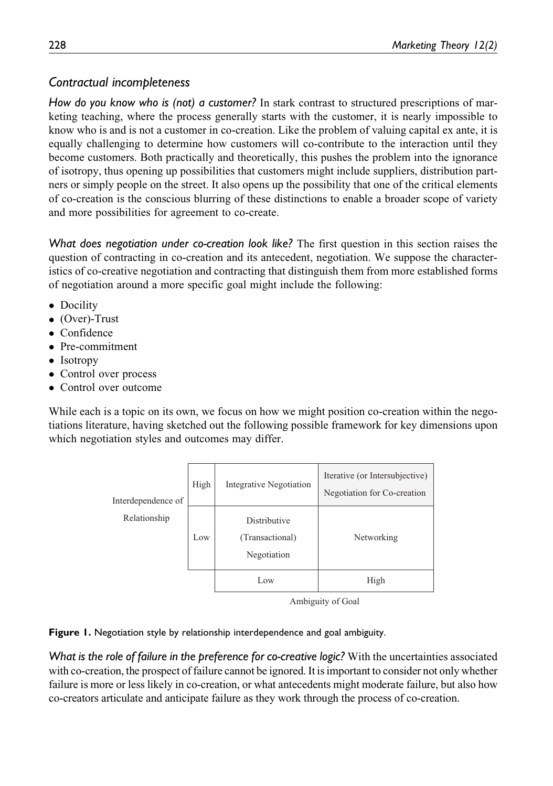# Contractual incompleteness

How do you know who is (not) a customer? In stark contrast to structured prescriptions of marketing teaching, where the process generally starts with the customer, it is nearly impossible to know who is and is not a customer in co-creation. Like the problem of valuing capital ex ante, it is equally challenging to determine how customers will co-contribute to the interaction until they become customers. Both practically and theoretically, this pushes the problem into the ignorance of isotropy, thus opening up possibilities that customers might include suppliers, distribution partners or simply people on the street. It also opens up the possibility that one of the critical elements of co-creation is the conscious blurring of these distinctions to enable a broader scope of variety and more possibilities for agreement to co-create.

What does negotiation under co-creation look like? The first question in this section raises the question of contracting in co-creation and its antecedent, negotiation. We suppose the characteristics of co-creative negotiation and contracting that distinguish them from more established forms of negotiation around a more specific goal might include the following:

- Docility
- (Over)-Trust
- Confidence
- Pre-commitment
- Isotropy
- Control over process
- Control over outcome

While each is a topic on its own, we focus on how we might position co-creation within the negotiations literature, having sketched out the following possible framework for key dimensions upon which negotiation styles and outcomes may differ.

| Interdependence of<br>Relationship | High | Integrative Negotiation                        | Iterative (or Intersubjective)<br>Negotiation for Co-creation |
|------------------------------------|------|------------------------------------------------|---------------------------------------------------------------|
|                                    | Low  | Distributive<br>(Transactional)<br>Negotiation | Networking                                                    |
|                                    |      | Low                                            | High                                                          |

Ambiguity of Goal

Figure 1. Negotiation style by relationship interdependence and goal ambiguity.

What is the role of failure in the preference for co-creative logic? With the uncertainties associated with co-creation, the prospect of failure cannot be ignored. It is important to consider not only whether failure is more or less likely in co-creation, or what antecedents might moderate failure, but also how co-creators articulate and anticipate failure as they work through the process of co-creation.